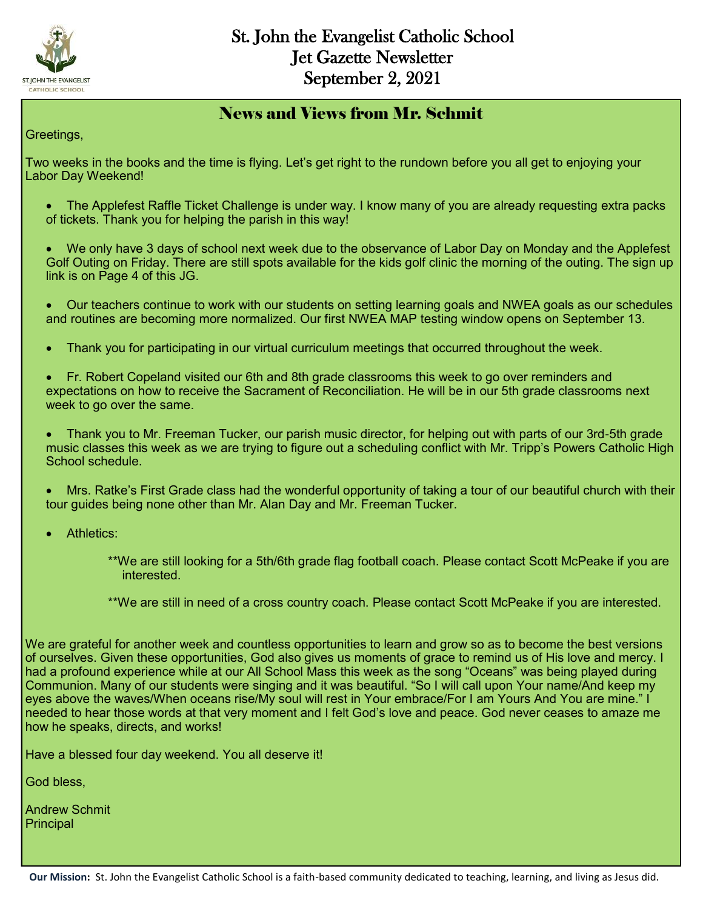

## News and Views from Mr. Schmit

Greetings,

Two weeks in the books and the time is flying. Let's get right to the rundown before you all get to enjoying your Labor Day Weekend!

- The Applefest Raffle Ticket Challenge is under way. I know many of you are already requesting extra packs of tickets. Thank you for helping the parish in this way!
- We only have 3 days of school next week due to the observance of Labor Day on Monday and the Applefest Golf Outing on Friday. There are still spots available for the kids golf clinic the morning of the outing. The sign up link is on Page 4 of this JG.
- Our teachers continue to work with our students on setting learning goals and NWEA goals as our schedules and routines are becoming more normalized. Our first NWEA MAP testing window opens on September 13.
- Thank you for participating in our virtual curriculum meetings that occurred throughout the week.
- Fr. Robert Copeland visited our 6th and 8th grade classrooms this week to go over reminders and expectations on how to receive the Sacrament of Reconciliation. He will be in our 5th grade classrooms next week to go over the same.
- Thank you to Mr. Freeman Tucker, our parish music director, for helping out with parts of our 3rd-5th grade music classes this week as we are trying to figure out a scheduling conflict with Mr. Tripp's Powers Catholic High School schedule.
- Mrs. Ratke's First Grade class had the wonderful opportunity of taking a tour of our beautiful church with their tour guides being none other than Mr. Alan Day and Mr. Freeman Tucker.
- Athletics:
	- \*\*We are still looking for a 5th/6th grade flag football coach. Please contact Scott McPeake if you are interested.
	- \*\*We are still in need of a cross country coach. Please contact Scott McPeake if you are interested.

We are grateful for another week and countless opportunities to learn and grow so as to become the best versions of ourselves. Given these opportunities, God also gives us moments of grace to remind us of His love and mercy. I had a profound experience while at our All School Mass this week as the song "Oceans" was being played during Communion. Many of our students were singing and it was beautiful. "So I will call upon Your name/And keep my eyes above the waves/When oceans rise/My soul will rest in Your embrace/For I am Yours And You are mine." I needed to hear those words at that very moment and I felt God's love and peace. God never ceases to amaze me how he speaks, directs, and works!

Have a blessed four day weekend. You all deserve it!

God bless,

Andrew Schmit Principal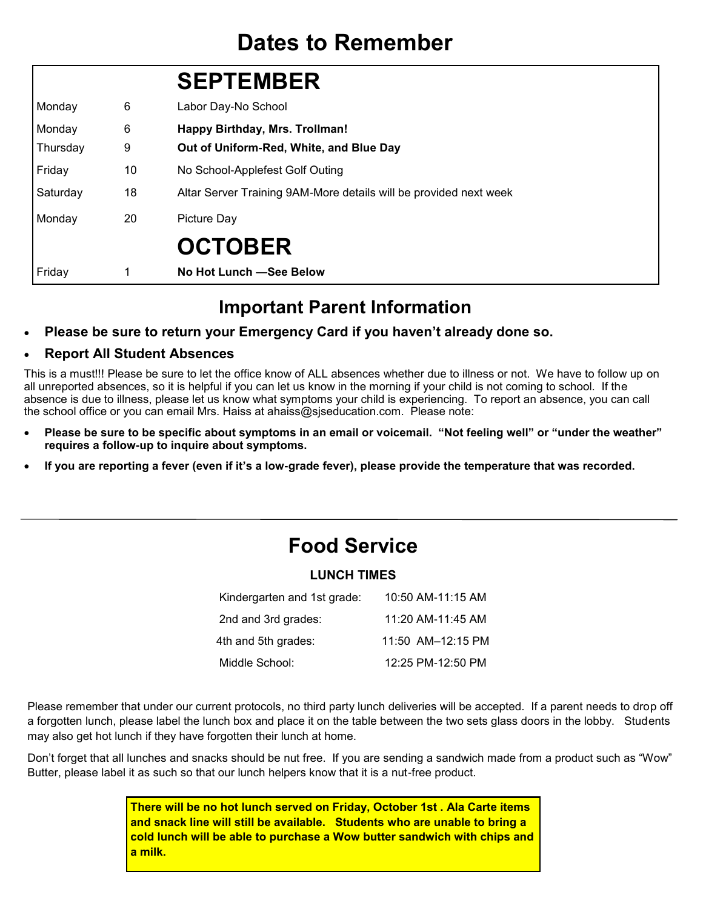# **Dates to Remember**

|          |       | <b>SEPTEMBER</b>                                                  |
|----------|-------|-------------------------------------------------------------------|
| Monday   | 6     | Labor Day-No School                                               |
| Monday   | $\,6$ | Happy Birthday, Mrs. Trollman!                                    |
| Thursday | 9     | Out of Uniform-Red, White, and Blue Day                           |
| Friday   | 10    | No School-Applefest Golf Outing                                   |
| Saturday | 18    | Altar Server Training 9AM-More details will be provided next week |
| Monday   | 20    | Picture Day                                                       |
|          |       | <b>OCTOBER</b>                                                    |
| Friday   |       | No Hot Lunch -See Below                                           |
|          |       |                                                                   |

## **Important Parent Information**

#### **Please be sure to return your Emergency Card if you haven't already done so.**

#### **Report All Student Absences**

This is a must!!! Please be sure to let the office know of ALL absences whether due to illness or not. We have to follow up on all unreported absences, so it is helpful if you can let us know in the morning if your child is not coming to school. If the absence is due to illness, please let us know what symptoms your child is experiencing. To report an absence, you can call the school office or you can email Mrs. Haiss at ahaiss@siseducation.com. Please note:

- **Please be sure to be specific about symptoms in an email or voicemail. "Not feeling well" or "under the weather" requires a follow-up to inquire about symptoms.**
- **If you are reporting a fever (even if it's a low-grade fever), please provide the temperature that was recorded.**

# **Food Service**

#### **LUNCH TIMES**

| Kindergarten and 1st grade: | 10:50 AM-11:15 AM |
|-----------------------------|-------------------|
| 2nd and 3rd grades:         | 11:20 AM-11:45 AM |
| 4th and 5th grades:         | 11:50 AM-12:15 PM |
| Middle School:              | 12:25 PM-12:50 PM |

Please remember that under our current protocols, no third party lunch deliveries will be accepted. If a parent needs to drop off a forgotten lunch, please label the lunch box and place it on the table between the two sets glass doors in the lobby. Students may also get hot lunch if they have forgotten their lunch at home.

Don't forget that all lunches and snacks should be nut free. If you are sending a sandwich made from a product such as "Wow" Butter, please label it as such so that our lunch helpers know that it is a nut-free product.

> **There will be no hot lunch served on Friday, October 1st . Ala Carte items and snack line will still be available. Students who are unable to bring a cold lunch will be able to purchase a Wow butter sandwich with chips and a milk.**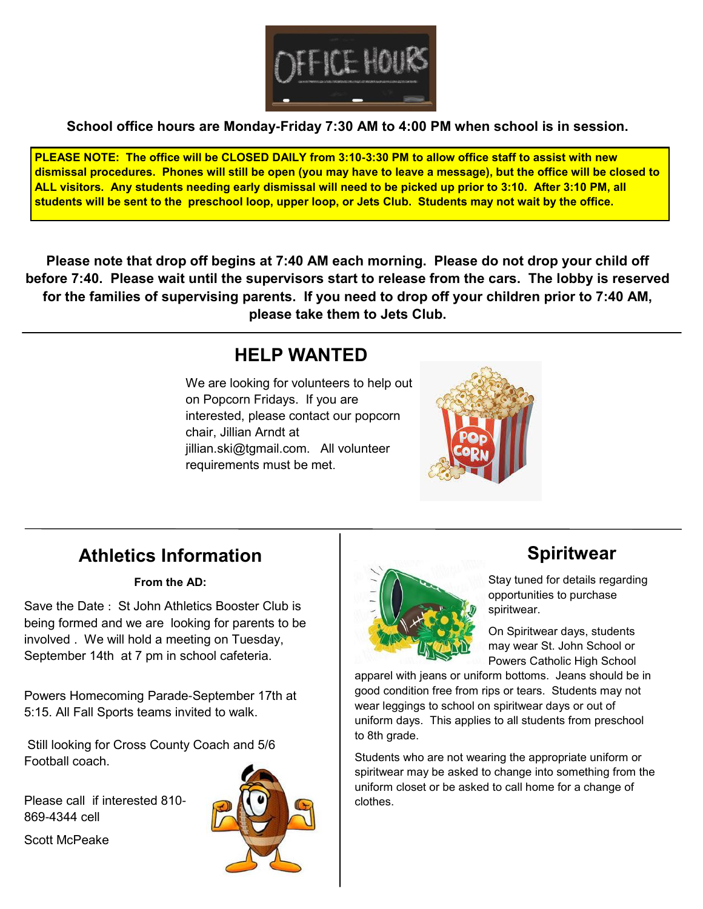

**School office hours are Monday-Friday 7:30 AM to 4:00 PM when school is in session.**

**PLEASE NOTE: The office will be CLOSED DAILY from 3:10-3:30 PM to allow office staff to assist with new dismissal procedures. Phones will still be open (you may have to leave a message), but the office will be closed to ALL visitors. Any students needing early dismissal will need to be picked up prior to 3:10. After 3:10 PM, all students will be sent to the preschool loop, upper loop, or Jets Club. Students may not wait by the office.** 

**Please note that drop off begins at 7:40 AM each morning. Please do not drop your child off before 7:40. Please wait until the supervisors start to release from the cars. The lobby is reserved for the families of supervising parents. If you need to drop off your children prior to 7:40 AM, please take them to Jets Club.** 

## **HELP WANTED**

We are looking for volunteers to help out on Popcorn Fridays. If you are interested, please contact our popcorn chair, Jillian Arndt at jillian.ski@tgmail.com. All volunteer requirements must be met.



# **Athletics Information**

#### **From the AD:**

Save the Date : St John Athletics Booster Club is being formed and we are looking for parents to be involved . We will hold a meeting on Tuesday, September 14th at 7 pm in school cafeteria.

Powers Homecoming Parade-September 17th at 5:15. All Fall Sports teams invited to walk.

Still looking for Cross County Coach and 5/6 Football coach.

Please call if interested 810- 869-4344 cell

Scott McPeake





## **Spiritwear**

Stay tuned for details regarding opportunities to purchase spiritwear.

On Spiritwear days, students may wear St. John School or Powers Catholic High School

apparel with jeans or uniform bottoms. Jeans should be in good condition free from rips or tears. Students may not wear leggings to school on spiritwear days or out of uniform days. This applies to all students from preschool to 8th grade.

Students who are not wearing the appropriate uniform or spiritwear may be asked to change into something from the uniform closet or be asked to call home for a change of clothes.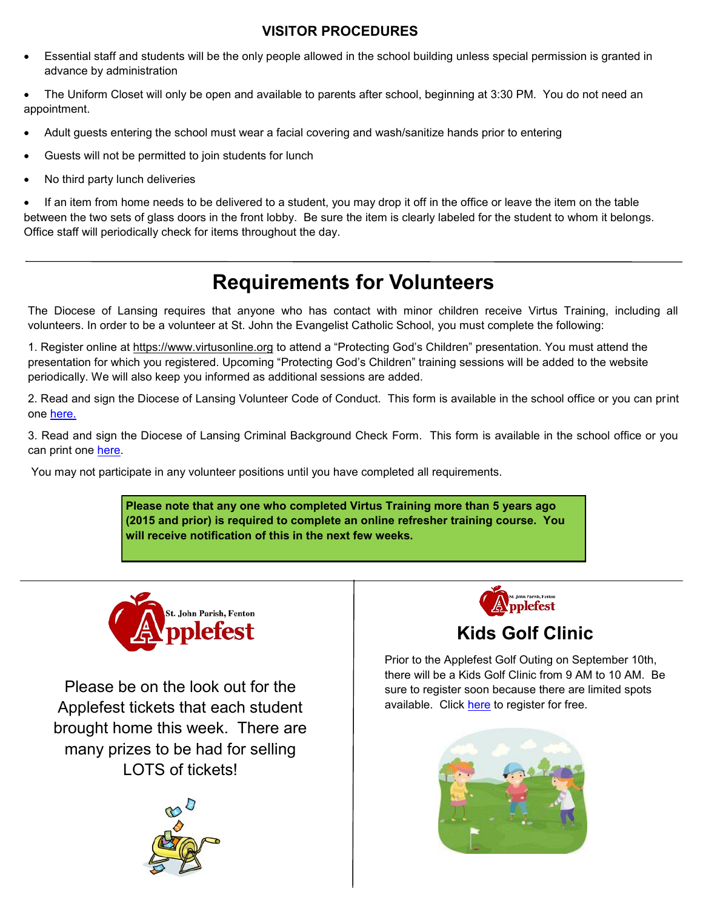## **VISITOR PROCEDURES**

- Essential staff and students will be the only people allowed in the school building unless special permission is granted in advance by administration
- The Uniform Closet will only be open and available to parents after school, beginning at 3:30 PM. You do not need an appointment.
- Adult guests entering the school must wear a facial covering and wash/sanitize hands prior to entering
- Guests will not be permitted to join students for lunch
- No third party lunch deliveries

 If an item from home needs to be delivered to a student, you may drop it off in the office or leave the item on the table between the two sets of glass doors in the front lobby. Be sure the item is clearly labeled for the student to whom it belongs. Office staff will periodically check for items throughout the day.

# **Requirements for Volunteers**

The Diocese of Lansing requires that anyone who has contact with minor children receive Virtus Training, including all volunteers. In order to be a volunteer at St. John the Evangelist Catholic School, you must complete the following:

1. Register online at https://www.virtusonline.org to attend a "Protecting God's Children" presentation. You must attend the presentation for which you registered. Upcoming "Protecting God's Children" training sessions will be added to the website periodically. We will also keep you informed as additional sessions are added.

2. Read and sign the Diocese of Lansing Volunteer Code of Conduct. This form is available in the school office or you can print one [here.](https://www.dioceseoflansing.org/sites/default/files/2020-03/CodeofConduct_03_2020-r1.pdf) 

3. Read and sign the Diocese of Lansing Criminal Background Check Form. This form is available in the school office or you can print one [here.](https://www.dioceseoflansing.org/sites/default/files/2017-03/DOLBackgroundCheckReleaseNOV2014_0.pdf) 

You may not participate in any volunteer positions until you have completed all requirements.

**Please note that any one who completed Virtus Training more than 5 years ago (2015 and prior) is required to complete an online refresher training course. You will receive notification of this in the next few weeks.** 



Please be on the look out for the Applefest tickets that each student brought home this week. There are many prizes to be had for selling LOTS of tickets!





## **Kids Golf Clinic**

Prior to the Applefest Golf Outing on September 10th, there will be a Kids Golf Clinic from 9 AM to 10 AM. Be sure to register soon because there are limited spots available. Click [here](https://www.stjohnfenton.org/applefest-golf-registration.html) to register for free.